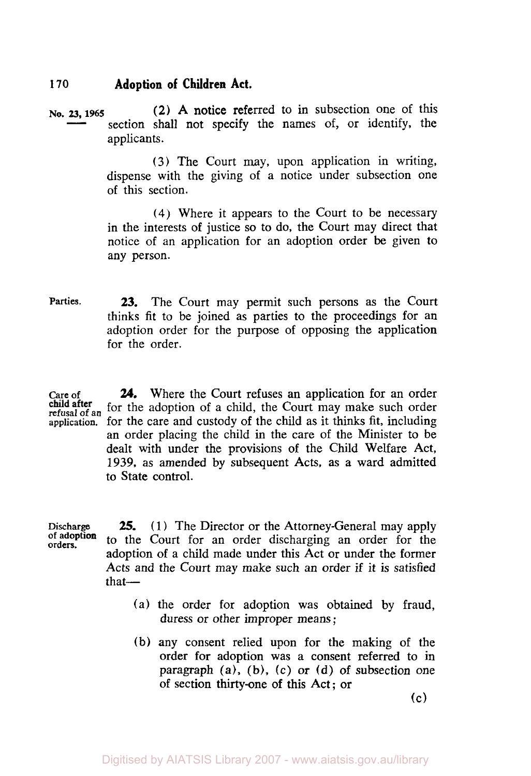**No. 23, 1965 (2)** A notice referred to in subsection one of this section shall not specify the names of, or identify, the applicants.

> **(3)** The Court may, upon application in writing, dispense with the giving of a notice under subsection one of this section.

> **(4)** Where it appears to the Court to be necessary in the interests of justice *so* to do, the Court may direct that notice of an application for an adoption order be given to any person.

**Parties. 23.** The Court may permit such persons **as** the Court thinks fit to be joined as parties to the proceedings for an adoption order for the purpose of opposing the application for the order.

Care of **24.** Where the Court refuses an application for an order for the adoption of a child, the Court may make such order **refusal of an application.** for the care and custody of the child as it thinks fit, including an order placing the child in the care of the Minister to be dealt with under the provisions of the Child Welfare Act, **1939,** as amended by subsequent Acts, as a ward admitted to State control.

Discharge **25.** (1) The Director or the Attorney-General may apply of adoption to the Court for an ander discharging an ander for the **orders. Of adoption** to the Court for an order discharging an order for the adoption of a child made under this Act or under the former Acts and the Court may make such an order if it is satisfied that- **25.** 

- (a) the order for adoption was obtained by fraud, duress or other improper means ;
- **(b)** any consent relied upon for the making of the order for adoption was a consent referred to in paragraph  $(a)$ ,  $(b)$ ,  $(c)$  or  $(d)$  of subsection one of section thirty-one of this Act; or

(c)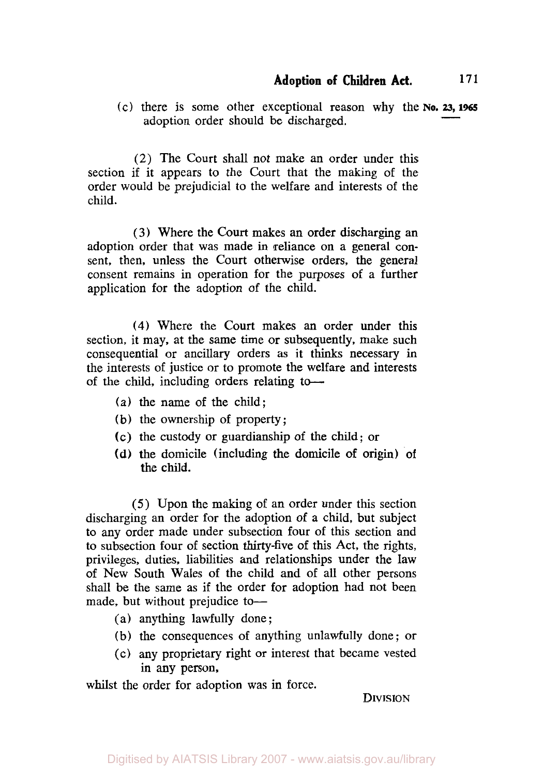(c) there is some other exceptional reason why the **No. 23, 1965**  adoption order should be discharged.

(2) The Court shall not make an order under this section if it appears to the Court that the making of the order would be prejudicial to the welfare and interests of the child.

**(3)** Where the Court makes an order discharging an adoption order that was made in reliance on a general consent, then, unless the Court otherwise orders, the general consent remains in operation for the purposes of a further application for the adoption of the child.

**(4)** Where the Court makes an order under this section, it may, at the same time or subsequently, make such consequential or ancillary orders **as** it thinks necessary in the interests of justice or to promote the welfare and interests of the child, including orders relating to-

- (a) the name of the child;
- (b) the ownership of property ;
- (c) the custody or guardianship of the child; or
- **(d)** the domicile (including the domicile of origin) of the child.

*(5)* Upon the making of an order under this section discharging an order for the adoption of a child, but subject to any order made under subsection four of this section and to subsection four of section thirty-five of this Act, the rights, privileges, duties, liabilities and relationships under the law of New South Wales of the child and of all other persons shall be the same as if the order for adoption had not been made, but without prejudice to-

- (a) anything lawfully done ;
- (b) the consequences of anything unlawfully done ; or
- (c) any proprietary right or interest that became vested in any person,

whilst the order for adoption was in force.

**DIVISION**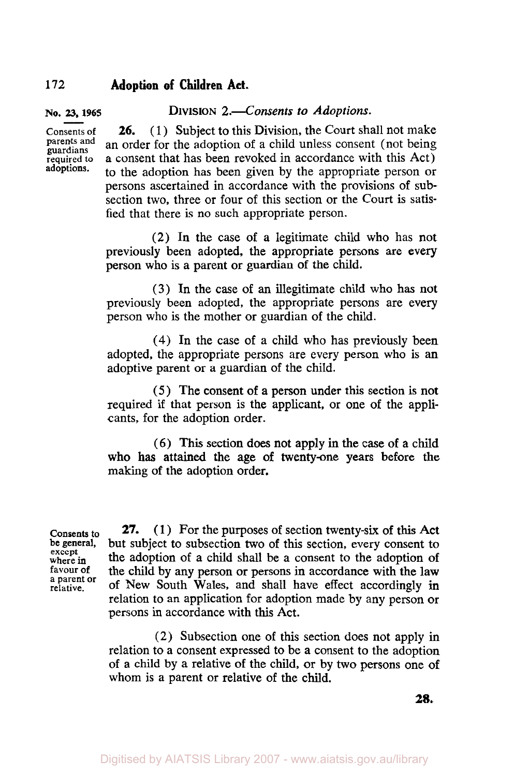**No. 23, 1965** 

**DIVISION** *2.Consents to Adoptions.* 

**Consents of 26.** (1) Subject to this Division, the Court shall not make parents and an order for the adoption of a obild unless consent (not being **parents** guardians **and** an order for the adoption of a child unless consent (not being **required to** a consent that has been revoked in accordance with this Act) to the adoption has been given by the appropriate person or persons ascertained in accordance with the provisions of subsection two, three or four of this section or the Court is satisfied that there is no such appropriate person. **26.** 

> **(2)** In the case **of** a legitimate child who has not previously been adopted, the appropriate persons are every person who is a parent or guardian of the child.

> **(3)** In the case of **an** illegitimate child who **has** not previously been adopted, the appropriate persons are every person who is the mother or guardian **of** the child.

> **(4)** In the case of a child who has previously been adopted, the appropriate persons are every person who is an adoptive parent or a guardian of the child.

> *(5* ) The consent **of** a person under this section is not required if that person is the applicant, or one of the applicants, for the adoption order.

> (6) This section does not apply in the case **of** a child who **has** attained the age of twenty-one years before the making of the adoption order.

**Consents** *to*  **be general, except where in favour of a parent or relative.** 

27. (1) For the purposes of section twenty-six of this Act but subject to subsection two of this section, every consent to the adoption of a child shall be a consent to the adoption **of**  the child by any person or persons in accordance with the law of New South Wales, and shall have effect accordingly **in**  relation to an application for adoption made by any person or persons in accordance with this Act.

**(2)** Subsection one of this section does not apply in relation to **a** consent expressed to be a consent to the adoption of a child by a relative of the child, **or** by two persons one of whom is a parent or relative of the child.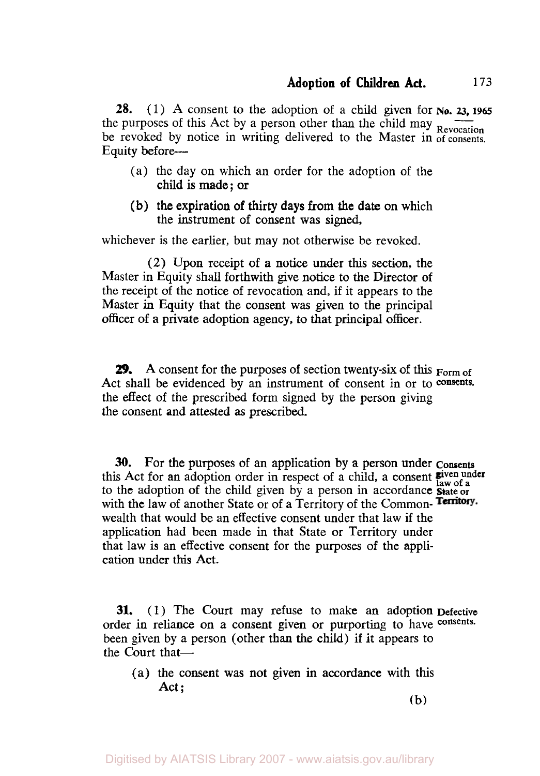*28.* (1) **A** consent to the adoption of a child given for **NO.** *23,* **1965**  the purposes of this Act by a person other than the child may  $\overline{R}_{\text{evocation}}$ be revoked by notice in writing delivered to the Master in of consents. Equity before-

- (a) the day on which an order for the adoption of the child is made ; or
- (b) the expiration of thirty days from the date on which the instrument of consent was signed,

whichever is the earlier, but may not otherwise be revoked.

*(2)* Upon receipt of a notice under this **section,** the Master in Equity shall forthwith give notice to the Director of the receipt of the notice of revocation and, if it appears to the Master in Equity that the consent was given to the principal officer of a private adoption agency, to that principal officer.

*29.* **A** consent for the purposes of section twenty-six of this **Form of**  Act shall be evidenced by an instrument of consent in or to consents. the effect of the prescribed form signed by the person giving the consent and attested **as** prescribed.

**30.** For the purposes of an application by a person under **Consents**  this Act for an adoption order in respect of a child, a consent **given under law of a** to the adoption of the child given by a person in accordance **State or**  with the law of another State or of a Territory of the Common-Territory. wealth that would be an effective consent under that law if the application had been made in that State or Territory under that law is an effective consent for the purposes of the application under this Act.

**31. (1)** The Court may refuse to make an adoption **Defective**  order in reliance on **a** consent given or purporting to have **consents.**  been given by a person (other than the child) if it appears to the Court that-

**(a)** the consent **was** not given in accordance with this Act ;

(b)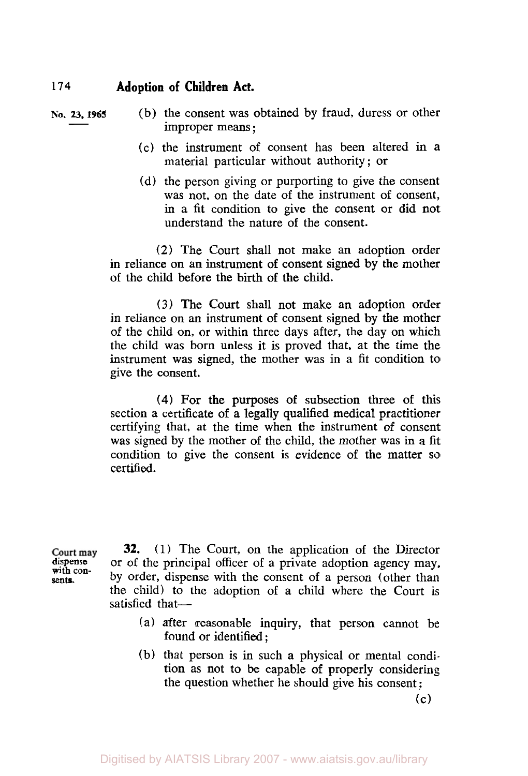**sents.** 

**NO.** *23, 1965* (b) the consent was obtained by fraud, duress or other improper means ;

- (c) the instrument of consent has been altered in a material particular without authority ; or
- (d) the person giving or purporting to give the consent was not, on the date of the instrument of consent, in a fit condition to give the consent or did not understand the nature of the consent.

**(2)** The Court shall not make an adoption order in reliance on an instrument **of** consent signed by the mother of the child before the birth **of** the child.

**(3)** The Court shall not make an adoption order in reliance on an instrument of consent signed by the mother of the child on, or within three days after, the day on which the child was born unless it is proved that, at the time the instrument was signed, the mother was in a fit condition to give the consent.

**(4)** For the purposes of subsection three of this section a certificate of a legally qualified medical practitioner certifying that, at the time when the instrument of consent was signed by the mother of the child, the mother was in a fit condition to give the consent is evidence of the matter so certified.

**32.** (1) The Court, on the application of the Director Court may or of the principal officer of a private adoption agency may, **dispense with con** by order, dispense with the consent of a person (other than the child) to the adoption of a child where the Court is satisfied that-

- (a) after reasonable inquiry, that person cannot be found or identified ;
- (b) that person is in such a physical or mental condition as not to be capable of properly considering the question whether he should give **his** consent :

 $(c)$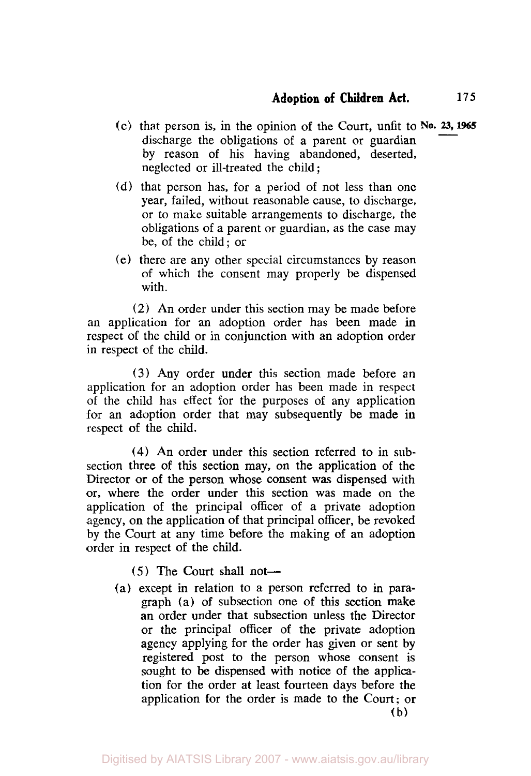- (c) that person is, in the opinion of the Court, unfit to **No. 23, 1965**  discharge the obligations of a parent or guardian by reason of his having abandoned, deserted, neglected or ill-treated the child ;
- (d) that person has, for a period of not less than one year, failed, without reasonable cause, to discharge, or to make suitable arrangements to discharge, the obligations of a parent or guardian, as the case may be, of the child; or
- (e) there are any other special circumstances by reason of which the consent may properly be dispensed with.

*(2)* An order under this section may be made before an application for an adoption order has been made in respect of the child or in conjunction with an adoption order in respect of the child.

**(3)** Any order under this section made before **an**  application for an adoption order has been made in respect of the child has effect for the purposes of any application for an adoption order that may subsequently be made in respect of the child.

**(4)** An order under this section referred to in subsection three of this section may, on the application of the Director or of the person whose consent was dispensed with or, where the order under this section was made on the application of the principal officer of a private adoption agency, on the application of that principal officer, be revoked by the Court at any time before the making of an adoption order in respect of the child.

- (5) The Court shall not-
- (a) except in relation to a person referred to in paragraph (a) of subsection one of this section make an order under that subsection unless the Director or the principal officer of the private adoption agency applying for the order has given or sent by registered post to the person whose consent is sought to be dispensed with notice of the application for the order at least fourteen days before the application for the order is made to the Court; or (b)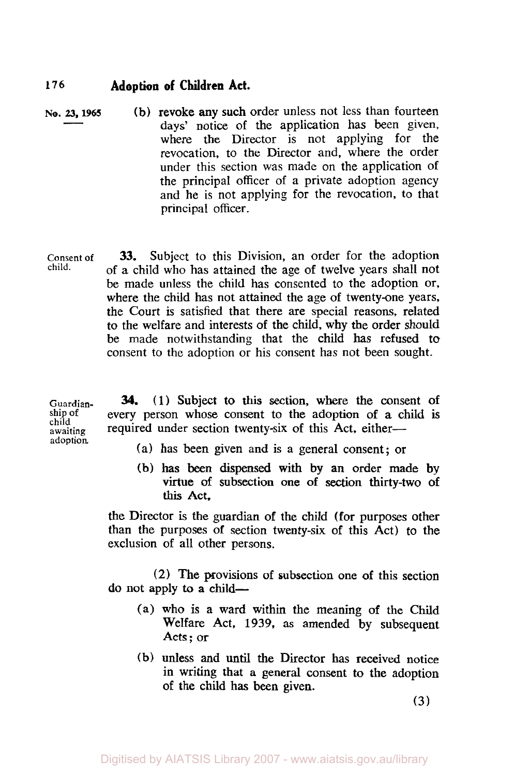- **NO. 23, 1965** (b) revoke any such order unless not less than fourteen days' notice of the application has been given, where the Director is not applying for the revocation, to the Director and, where the order under this section was made on the application of the principal officer of a private adoption agency and he is not applying for the revocation, to that principal officer.
- **Consent of child. 33.** Subject to this Division, an order for the adoption of *a* child who has attained the age **of** twelve years shall not be made unless the child has consented to the adoption or, where the child has not attained the age of twenty-one years, the Court is satisfied that there are special reasons, related to the welfare and interests of the child, why the order should be made notwithstanding that the child has refused to consent to the adoption or his consent has not been sought.

**Guardianship of child awaiting adoption 34. (1)** Subject to **this** section, where the consent **of**  every person whose consent to the adoption **of a** child is required under section twenty-six of this Act, either-

- **(a)** has been given and is a general consent; or
- (b) has been **dispensed with** by an order made by virtue of subsection one **of section** thirty-two **of this** Act,

the Director is the guardian of the child (for purposes other than the purposes of section twenty-six **of** this Act) to the exclusion of all other persons.

**(2) The** provisions of subsection one **of** this section **do** not apply to a **child-** 

- (a) who **is** a ward within the meaning of the Child Welfare Act, **1939,** as amended by subsequent Acts ; or
- **(b)** unless and **until** the Director has received notice in writing that a general consent to the adoption **of** the child has **been** given.

**(3)**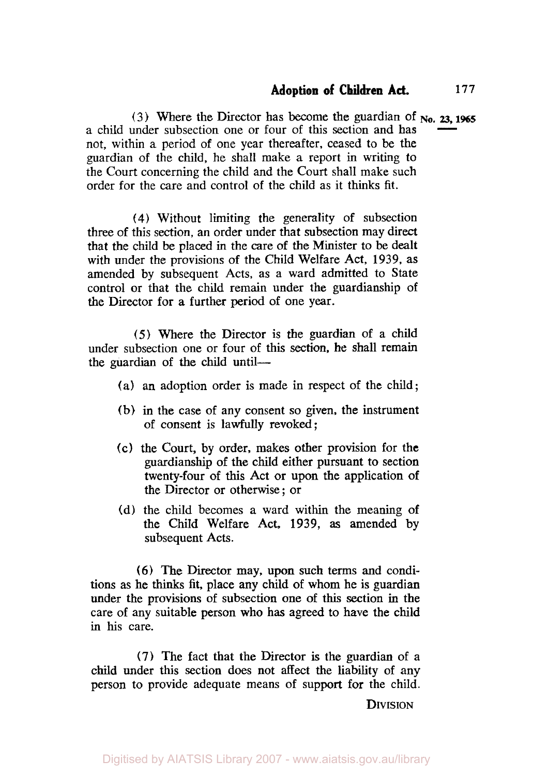(3) Where the Director has become the guardian of **No.** *23,* **<sup>1965</sup>** a child under subsection one or four of this section and has not, within a period of one year thereafter, ceased to be the guardian of the child, he shall make **a** report in writing to the Court concerning the child and the Court shall **make** such order for the care and control of the child as it thinks fit.

**14)** Without limiting the generality of subsection three of this section, an order under that subsection may direct that the child be placed in the care of the Minister to be dealt with under the provisions of the Child Welfare Act, 1939, as amended by subsequent Acts, as a ward admitted to State control or that the child remain under the guardianship of the Director for **a** further period of one year.

*(5)* Where the Director is the guardian of a child under subsection one or four of this section, **he** shall remain the guardian of the child until-

- (a) an adoption order is made in respect of the child;
- **(b)** in the case of any consent *so* **given,** the instrument of consent is lawfulIy revoked;
- (c) the Court, by order, makes other provision for the guardianship of the child either pursuant to section twenty-four of this Act or upon the application of the Director or otherwise ; or
- (d) the child becomes a ward within the meaning of the ChiId Welfare Act, **1939, as** amended by subsequent Acts.

*(6)* The Director may, **upon** such terms and conditions as he thinks fit, place any child of whom he **is** guardian under the provisions of subsection one of this section in the care of any suitable person who **has** agreed to have the child in his care.

**(7)** The fact that the Director is the guardian of a child under **this** section **does** not affect the liability of any person to provide adequate means of support for the child.

**DIVISION**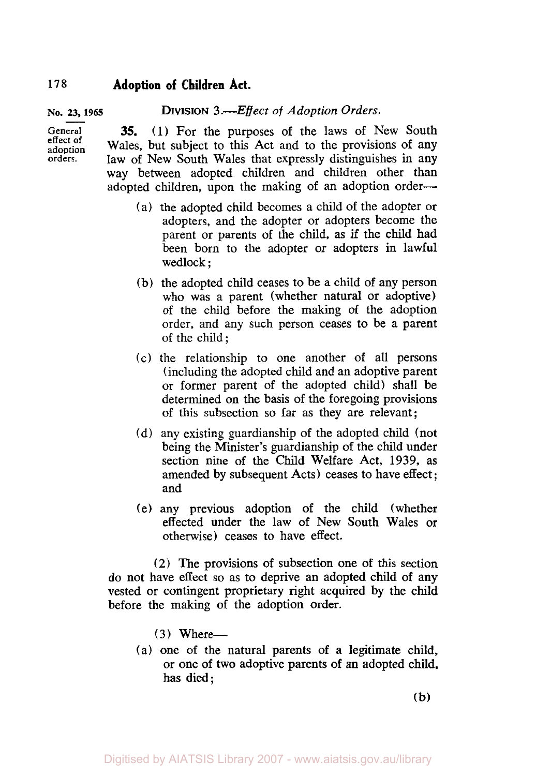#### **No. 23, 1965**  DIVISION **3** *.-Effect* of *Adoption Orders.*

**(1)** For the purposes of the laws of New South Wales, but subject to this Act and to the provisions of any law of New South Wales that expressly distinguishes in any way between adopted children and children other than adopted children, upon the making of an adoption order-**35.** 

- (a) the adopted child becomes a child of the adopter or adopters, and the adopter or adopters become the parent or parents of the child, as if the child had been born to the adopter or adopters in lawful wedlock ;
- (b) the adopted child ceases to be a child of any person who was a parent (whether natural or adoptive) of the child before the making of the adoption order, and any such person ceases to be a parent of the child ;
- (c) the relationship to one another of all persons (including the adopted child and an adoptive parent or former parent of the adopted child) shall be determined on the basis of the foregoing provisions of this subsection so far as they are relevant;
- (d) any existing guardianship of the adopted child (not being the Minister's guardianship of the child under section nine of the Child Welfare Act, **1939,** as amended by subsequent Acts) ceases to have effect ; and
- (e) any previous adoption **of** the child (whether effected under the law of New South Wales or otherwise) ceases to have effect.

**(2)** The provisions of subsection one of this section do not have effect so as to deprive an adopted child of any vested or contingent proprietary right acquired by the child before the making of the adoption order.

- $(3)$  Where--
- (a) one of the natural parents of a legitimate child, or one **of** two adoptive parents of an adopted child, **has** died;

**(b)** 

**General effect of adoption** 

**orders.**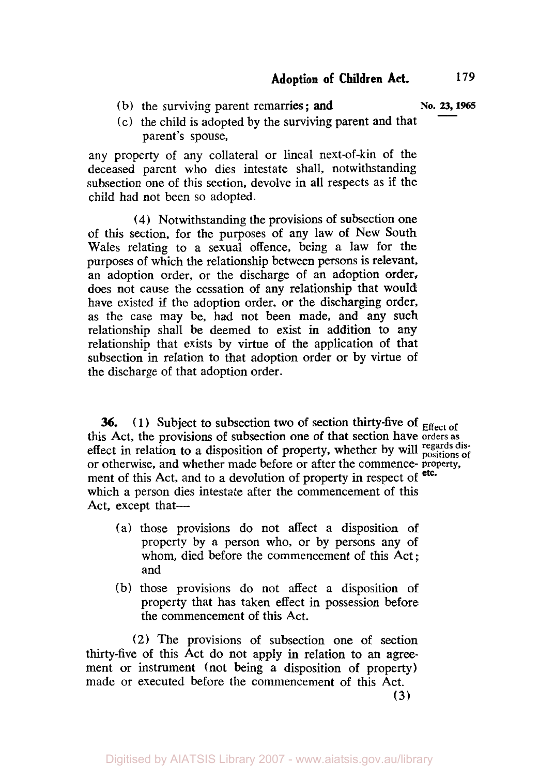(b) the surviving parent remarries; and **No. 23, 1965** 

(c) the child is adopted by the surviving parent and that parent's spouse,

any property of any collateral or lineal next-of-kin of the deceased parent who dies intestate shall, notwithstanding subsection one of this section, devolve in all respects as if the child had not been *so* adopted.

**(4)** Notwithstanding the provisions of subsection one of this section, for the purposes of any law of New South Wales relating to a sexual offence, being a law for the purposes of which the relationship between persons **is** relevant, an adoption order, or the discharge of an adoption order, does not cause the cessation of any relationship that would have existed if the adoption order, or the discharging order, as the case may be, had not been made, and any such relationship shall be deemed to exist in addition to any relationship that exists by virtue of the application of that subsection in relation to that adoption order or by virtue of the discharge of that adoption order.

**36.** (1) Subject to subsection two of section thirty-five of **Effect** of this Act, the provisions **of** subsection one of that section have **orders as**  effect in relation to a disposition of property, whether by will **regards disposition of**  or otherwise, and whether made before or after the commence- **property.**  ment of this Act, and to a devolution of property in respect of etc. which a person dies intestate after the commencement **of** this Act, except that-

- (a) those provisions do not affect a disposition of
- property by a person who, or by persons any of whom, died before the commencement of this Act ; and
- (b) those provisions do not affect a disposition of property that has taken effect in possession before the commencement of this Act.

(2) The provisions **of** subsection **one** of section thirty-five of this Act do not apply in relation to **an** agreement or instrument (not being a disposition of property) made or executed before the commencement of this Act.

**(3)**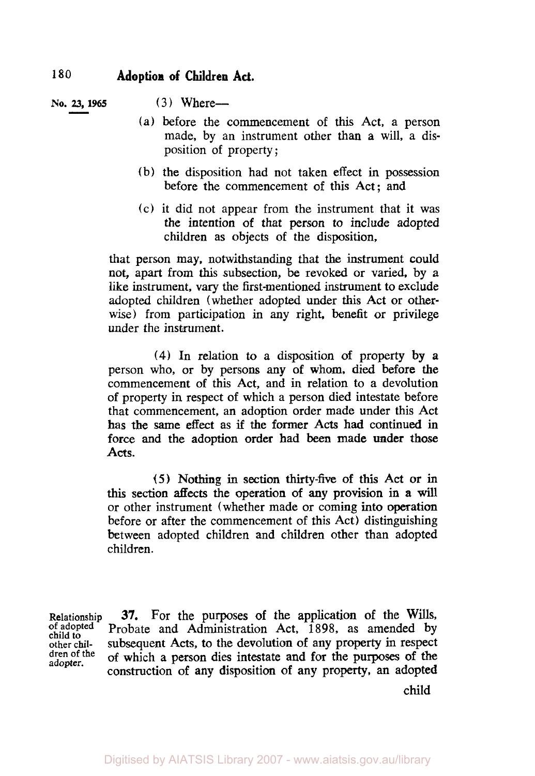**No. 23, 1965** (3) Where-

- (a) before the commencement of this Act, a person made, by an instrument other **than** a will, a disposition of property **;**
- (b) the disposition had not taken effect in possession before the commencement of this Act; and
- (c) it did not appear from the instrument that it was the intention of that person to include adopted children as objects of the disposition,

that person may, notwithstanding **that the** instrument could not, apart from this subsection, be revoked or varied, by a like instrument, vary **the** first-mentioned instrument to exclude adopted children (whether adopted under this Act or otherwise) from participation in any right, benefit or privilege under the instrument.

**(4) In** relation to a disposition of property **by a**  person who, or by persons any of whom, died before the commencement of this Act, and in relation to a devolution of property in respect **of** which a person died intestate before that commencement, an adoption order made under this Act **has** the same effect **as if** the former **Acts** had continued in force and the adoption order had **been** made under those **Acts.** 

*(5)* **Nothing in section thirty-five** of this **Act** or in *this* section affects the operation *of* **any** provision in a will or other instrument (whether made or coming into operation before or after the commencement of this Act) distinguishing between adopted children and children other than adopted children.

**Relationship** 37. For the purposes of the application of the Wills, of adopted **Probate and Administration Act, 1898**, as amended by child to other chil-<br>
subsequent Acts, to the devolution of any property in respect other chil-<br> **other chil- of** which a person dies intestate and for the purposes of the **dren Of the of** which a person dies intestate and for the purposes **of the adopter.** construction of **any** disposition of any property, an adopted

child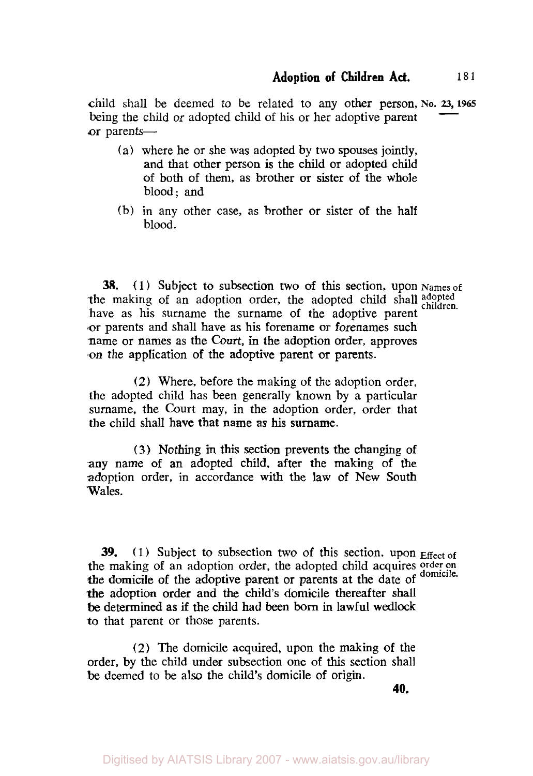child shall be deemed to be related to **any** other person, **No. 23, 1965**  being the child or adopted child of his or her adoptive parent or parents-

- (a) where he or she was adopted by two spouses **jointly,**  and that other person is the child or adopted child of both of them, as brother or sister of the whole blood; **and**
- **(b)** in any other case, as brother or sister of the half blood.

**38.** (1) Subject to subsection **two** of this section, upon **Names of**  the making of an adoption order, the adopted child shall adopted have as **his** surname the surname of the adoptive parent or parents and shall have as his forename or forenames such name or names as the Court, in the adoption order, approves on the application of the adoptive parent or parents.

(2) Where, before the making of the adoption order, the adopted child has been generally known by a particular surname, the Court may, in the adoption order, order that the child shall have that name *as* his surname.

(3) Nothing **m** this section prevents the changing of any name of an adopted child, after the making **of** the adoption order, in accordance with the law of New **South**  Wales.

**39.** (1) Subject to subsection two of this section, upon **Effect** of the making of an adoption order, the adopted child acquires order on the domicile of the adoptive parent or parents at the date of <sup>domicile.</sup> *the* adoption order and the child's domicile thereafter shall **be** determined as if the child had been born in lawful **wedlock**  to that parent or those parents.

(2) The domicile acquired, upon the making **of** the order, **by** the child under subsection one of **this** section shall be deemed to be also the child's domicile of origin.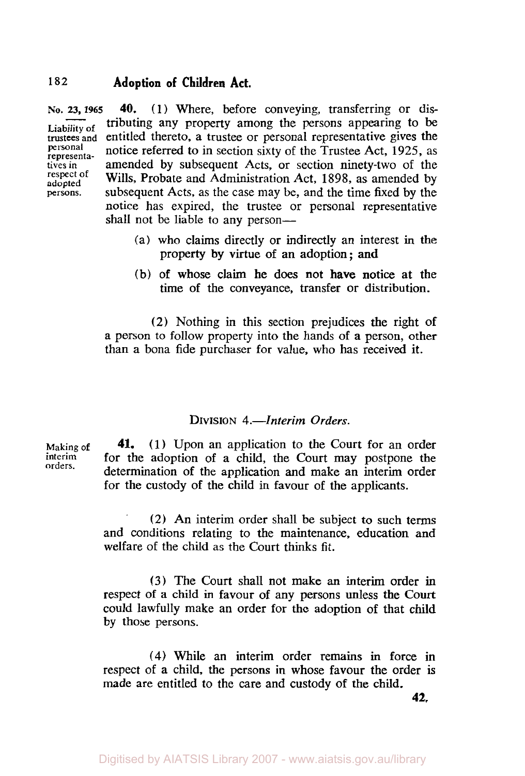**NO. 23, 1965 40.** (1) Where, before conveying, transferring or dis-**Liability of** tributing any property among the persons appearing to be trustees and entitled thereto, a trustee or personal representative gives the personal potice referred to in coation civity of the Trustee A et 1025, eq. personal **representa-** notice referred to in section sixty of the Trustee Act, 1925, as tives in **amended** by subsequent Acts, or section ninety-two of the respect of Wille **Proboto** and Administration Act 1809 as a manded by respect of **Wills, Probate and Administration Act, 1898**, as amended by adopted **and the structure** by the persons. subsequent Acts, as the case may be, and the time fixed by the notice has expired, the trustee or personal representative shall not be liable to any person—

- (a) who claims directly or indirectly an interest in the property by virtue of an adoption; and
- (b) of whose claim he does not have notice at the time of the conveyance, transfer or distribution.

(2) Nothing in this section prejudices the right of **a** person to follow property into the hands of a person, other than a bona fide purchaser for value, who has received it.

## **DIVISION** 4.-*Interim Orders.*

Making of interim **41. (1)** Upon an application to the Court for an order for the adoption of a child, the Court may postpone the determination of the application and make an interim order for the custody of the child in favour of the applicants. **orders.** 

> (2) An interim order shall be subject to such terms and conditions relating to the maintenance, education and welfare of the child as the Court thinks fit.

> **(3)** The Court shall not make an interim order in respect of a child in favour of any persons unless the Court could lawfully make an order for the adoption of that child by those persons.

> *(4)* While an interim order remains in force in respect of a child, the persons in whose favour the order **is**  made are entitled to the care and custody of the child.